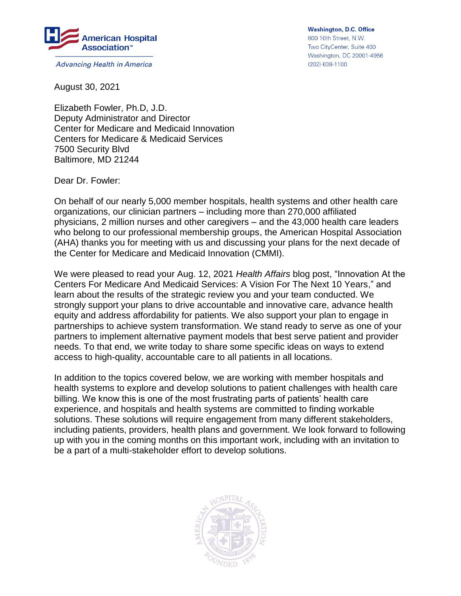

**Advancing Health in America** 

**Washington, D.C. Office** 800 10th Street, N.W. Two CityCenter, Suite 400 Washington, DC 20001-4956 (202) 638-1100

August 30, 2021

Elizabeth Fowler, Ph.D, J.D. Deputy Administrator and Director Center for Medicare and Medicaid Innovation Centers for Medicare & Medicaid Services 7500 Security Blvd Baltimore, MD 21244

Dear Dr. Fowler:

On behalf of our nearly 5,000 member hospitals, health systems and other health care organizations, our clinician partners – including more than 270,000 affiliated physicians, 2 million nurses and other caregivers – and the 43,000 health care leaders who belong to our professional membership groups, the American Hospital Association (AHA) thanks you for meeting with us and discussing your plans for the next decade of the Center for Medicare and Medicaid Innovation (CMMI).

We were pleased to read your Aug. 12, 2021 *Health Affairs* blog post, "Innovation At the Centers For Medicare And Medicaid Services: A Vision For The Next 10 Years," and learn about the results of the strategic review you and your team conducted. We strongly support your plans to drive accountable and innovative care, advance health equity and address affordability for patients. We also support your plan to engage in partnerships to achieve system transformation. We stand ready to serve as one of your partners to implement alternative payment models that best serve patient and provider needs. To that end, we write today to share some specific ideas on ways to extend access to high-quality, accountable care to all patients in all locations.

In addition to the topics covered below, we are working with member hospitals and health systems to explore and develop solutions to patient challenges with health care billing. We know this is one of the most frustrating parts of patients' health care experience, and hospitals and health systems are committed to finding workable solutions. These solutions will require engagement from many different stakeholders, including patients, providers, health plans and government. We look forward to following up with you in the coming months on this important work, including with an invitation to be a part of a multi-stakeholder effort to develop solutions.

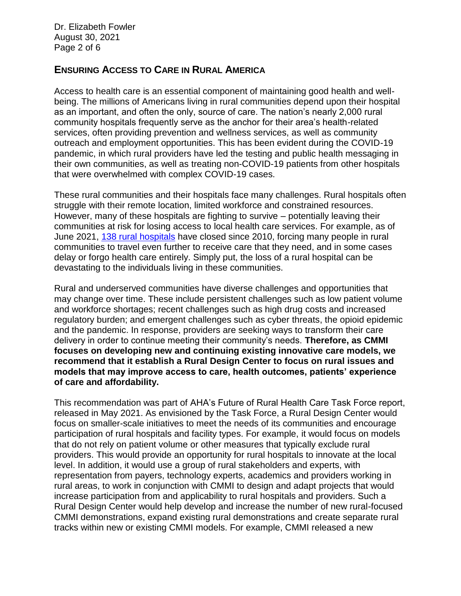Dr. Elizabeth Fowler August 30, 2021 Page 2 of 6

# **ENSURING ACCESS TO CARE IN RURAL AMERICA**

Access to health care is an essential component of maintaining good health and wellbeing. The millions of Americans living in rural communities depend upon their hospital as an important, and often the only, source of care. The nation's nearly 2,000 rural community hospitals frequently serve as the anchor for their area's health-related services, often providing prevention and wellness services, as well as community outreach and employment opportunities. This has been evident during the COVID-19 pandemic, in which rural providers have led the testing and public health messaging in their own communities, as well as treating non-COVID-19 patients from other hospitals that were overwhelmed with complex COVID-19 cases.

These rural communities and their hospitals face many challenges. Rural hospitals often struggle with their remote location, limited workforce and constrained resources. However, many of these hospitals are fighting to survive – potentially leaving their communities at risk for losing access to local health care services. For example, as of June 2021, [138 rural hospitals](https://www.shepscenter.unc.edu/programs-projects/rural-health/rural-hospital-closures/) have closed since 2010, forcing many people in rural communities to travel even further to receive care that they need, and in some cases delay or forgo health care entirely. Simply put, the loss of a rural hospital can be devastating to the individuals living in these communities.

Rural and underserved communities have diverse challenges and opportunities that may change over time. These include persistent challenges such as low patient volume and workforce shortages; recent challenges such as high drug costs and increased regulatory burden; and emergent challenges such as cyber threats, the opioid epidemic and the pandemic. In response, providers are seeking ways to transform their care delivery in order to continue meeting their community's needs. **Therefore, as CMMI focuses on developing new and continuing existing innovative care models, we recommend that it establish a Rural Design Center to focus on rural issues and models that may improve access to care, health outcomes, patients' experience of care and affordability.** 

This recommendation was part of AHA's Future of Rural Health Care Task Force report, released in May 2021. As envisioned by the Task Force, a Rural Design Center would focus on smaller-scale initiatives to meet the needs of its communities and encourage participation of rural hospitals and facility types. For example, it would focus on models that do not rely on patient volume or other measures that typically exclude rural providers. This would provide an opportunity for rural hospitals to innovate at the local level. In addition, it would use a group of rural stakeholders and experts, with representation from payers, technology experts, academics and providers working in rural areas, to work in conjunction with CMMI to design and adapt projects that would increase participation from and applicability to rural hospitals and providers. Such a Rural Design Center would help develop and increase the number of new rural-focused CMMI demonstrations, expand existing rural demonstrations and create separate rural tracks within new or existing CMMI models. For example, CMMI released a new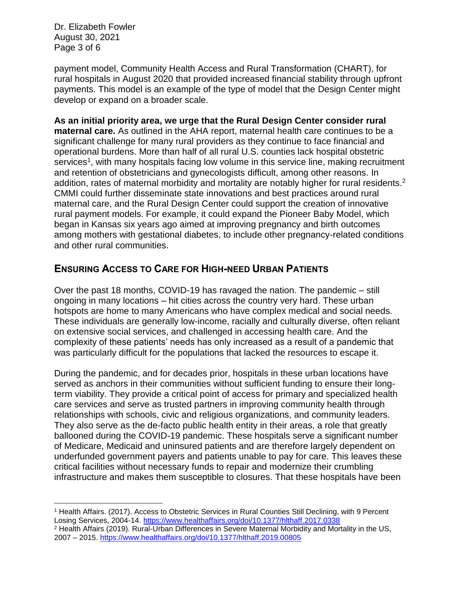Dr. Elizabeth Fowler August 30, 2021 Page 3 of 6

payment model, Community Health Access and Rural Transformation (CHART), for rural hospitals in August 2020 that provided increased financial stability through upfront payments. This model is an example of the type of model that the Design Center might develop or expand on a broader scale.

**As an initial priority area, we urge that the Rural Design Center consider rural maternal care.** As outlined in the AHA report, maternal health care continues to be a significant challenge for many rural providers as they continue to face financial and operational burdens. More than half of all rural U.S. counties lack hospital obstetric services<sup>1</sup>, with many hospitals facing low volume in this service line, making recruitment and retention of obstetricians and gynecologists difficult, among other reasons. In addition, rates of maternal morbidity and mortality are notably higher for rural residents.<sup>2</sup> CMMI could further disseminate state innovations and best practices around rural maternal care, and the Rural Design Center could support the creation of innovative rural payment models. For example, it could expand the Pioneer Baby Model, which began in Kansas six years ago aimed at improving pregnancy and birth outcomes among mothers with gestational diabetes, to include other pregnancy-related conditions and other rural communities.

# **ENSURING ACCESS TO CARE FOR HIGH-NEED URBAN PATIENTS**

Over the past 18 months, COVID-19 has ravaged the nation. The pandemic – still ongoing in many locations – hit cities across the country very hard. These urban hotspots are home to many Americans who have complex medical and social needs. These individuals are generally low-income, racially and culturally diverse, often reliant on extensive social services, and challenged in accessing health care. And the complexity of these patients' needs has only increased as a result of a pandemic that was particularly difficult for the populations that lacked the resources to escape it.

During the pandemic, and for decades prior, hospitals in these urban locations have served as anchors in their communities without sufficient funding to ensure their longterm viability. They provide a critical point of access for primary and specialized health care services and serve as trusted partners in improving community health through relationships with schools, civic and religious organizations, and community leaders. They also serve as the de-facto public health entity in their areas, a role that greatly ballooned during the COVID-19 pandemic. These hospitals serve a significant number of Medicare, Medicaid and uninsured patients and are therefore largely dependent on underfunded government payers and patients unable to pay for care. This leaves these critical facilities without necessary funds to repair and modernize their crumbling infrastructure and makes them susceptible to closures. That these hospitals have been

 $\overline{\phantom{a}}$ <sup>1</sup> Health Affairs. (2017). Access to Obstetric Services in Rural Counties Still Declining, with 9 Percent Losing Services, 2004-14.<https://www.healthaffairs.org/doi/10.1377/hlthaff.2017.0338>

<sup>2</sup> Health Affairs (2019). Rural-Urban Differences in Severe Maternal Morbidity and Mortality in the US, 2007 – 2015.<https://www.healthaffairs.org/doi/10.1377/hlthaff.2019.00805>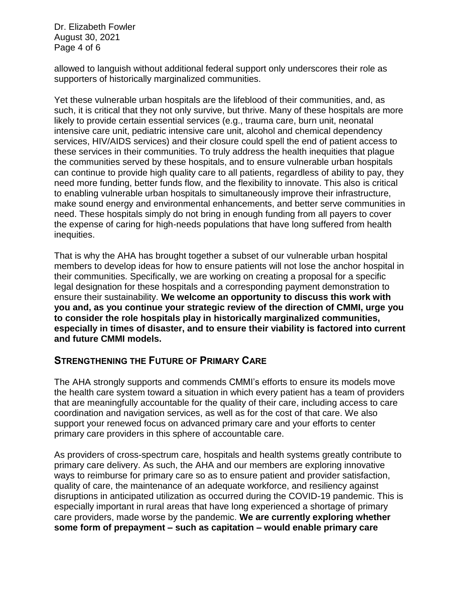Dr. Elizabeth Fowler August 30, 2021 Page 4 of 6

allowed to languish without additional federal support only underscores their role as supporters of historically marginalized communities.

Yet these vulnerable urban hospitals are the lifeblood of their communities, and, as such, it is critical that they not only survive, but thrive. Many of these hospitals are more likely to provide certain essential services (e.g., trauma care, burn unit, neonatal intensive care unit, pediatric intensive care unit, alcohol and chemical dependency services, HIV/AIDS services) and their closure could spell the end of patient access to these services in their communities. To truly address the health inequities that plague the communities served by these hospitals, and to ensure vulnerable urban hospitals can continue to provide high quality care to all patients, regardless of ability to pay, they need more funding, better funds flow, and the flexibility to innovate. This also is critical to enabling vulnerable urban hospitals to simultaneously improve their infrastructure, make sound energy and environmental enhancements, and better serve communities in need. These hospitals simply do not bring in enough funding from all payers to cover the expense of caring for high-needs populations that have long suffered from health inequities.

That is why the AHA has brought together a subset of our vulnerable urban hospital members to develop ideas for how to ensure patients will not lose the anchor hospital in their communities. Specifically, we are working on creating a proposal for a specific legal designation for these hospitals and a corresponding payment demonstration to ensure their sustainability. **We welcome an opportunity to discuss this work with you and, as you continue your strategic review of the direction of CMMI, urge you to consider the role hospitals play in historically marginalized communities, especially in times of disaster, and to ensure their viability is factored into current and future CMMI models.**

### **STRENGTHENING THE FUTURE OF PRIMARY CARE**

The AHA strongly supports and commends CMMI's efforts to ensure its models move the health care system toward a situation in which every patient has a team of providers that are meaningfully accountable for the quality of their care, including access to care coordination and navigation services, as well as for the cost of that care. We also support your renewed focus on advanced primary care and your efforts to center primary care providers in this sphere of accountable care.

As providers of cross-spectrum care, hospitals and health systems greatly contribute to primary care delivery. As such, the AHA and our members are exploring innovative ways to reimburse for primary care so as to ensure patient and provider satisfaction, quality of care, the maintenance of an adequate workforce, and resiliency against disruptions in anticipated utilization as occurred during the COVID-19 pandemic. This is especially important in rural areas that have long experienced a shortage of primary care providers, made worse by the pandemic. **We are currently exploring whether some form of prepayment – such as capitation – would enable primary care**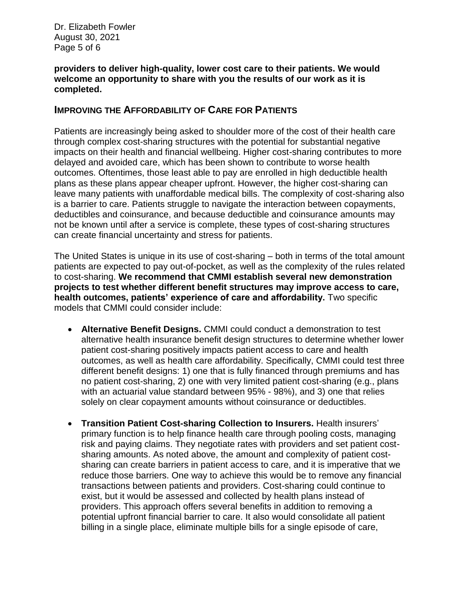Dr. Elizabeth Fowler August 30, 2021 Page 5 of 6

#### **providers to deliver high-quality, lower cost care to their patients. We would welcome an opportunity to share with you the results of our work as it is completed.**

### **IMPROVING THE AFFORDABILITY OF CARE FOR PATIENTS**

Patients are increasingly being asked to shoulder more of the cost of their health care through complex cost-sharing structures with the potential for substantial negative impacts on their health and financial wellbeing. Higher cost-sharing contributes to more delayed and avoided care, which has been shown to contribute to worse health outcomes. Oftentimes, those least able to pay are enrolled in high deductible health plans as these plans appear cheaper upfront. However, the higher cost-sharing can leave many patients with unaffordable medical bills. The complexity of cost-sharing also is a barrier to care. Patients struggle to navigate the interaction between copayments, deductibles and coinsurance, and because deductible and coinsurance amounts may not be known until after a service is complete, these types of cost-sharing structures can create financial uncertainty and stress for patients.

The United States is unique in its use of cost-sharing – both in terms of the total amount patients are expected to pay out-of-pocket, as well as the complexity of the rules related to cost-sharing. **We recommend that CMMI establish several new demonstration projects to test whether different benefit structures may improve access to care, health outcomes, patients' experience of care and affordability.** Two specific models that CMMI could consider include:

- **Alternative Benefit Designs.** CMMI could conduct a demonstration to test alternative health insurance benefit design structures to determine whether lower patient cost-sharing positively impacts patient access to care and health outcomes, as well as health care affordability. Specifically, CMMI could test three different benefit designs: 1) one that is fully financed through premiums and has no patient cost-sharing, 2) one with very limited patient cost-sharing (e.g., plans with an actuarial value standard between 95% - 98%), and 3) one that relies solely on clear copayment amounts without coinsurance or deductibles.
- **Transition Patient Cost-sharing Collection to Insurers.** Health insurers' primary function is to help finance health care through pooling costs, managing risk and paying claims. They negotiate rates with providers and set patient costsharing amounts. As noted above, the amount and complexity of patient costsharing can create barriers in patient access to care, and it is imperative that we reduce those barriers. One way to achieve this would be to remove any financial transactions between patients and providers. Cost-sharing could continue to exist, but it would be assessed and collected by health plans instead of providers. This approach offers several benefits in addition to removing a potential upfront financial barrier to care. It also would consolidate all patient billing in a single place, eliminate multiple bills for a single episode of care,